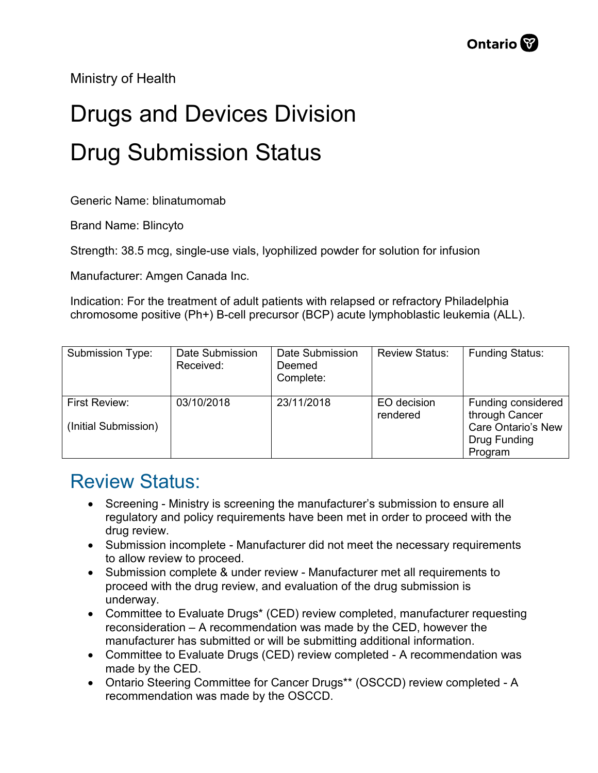Ministry of Health

## Drugs and Devices Division Drug Submission Status

Generic Name: blinatumomab

Brand Name: Blincyto

Strength: 38.5 mcg, single-use vials, lyophilized powder for solution for infusion

Manufacturer: Amgen Canada Inc.

Indication: For the treatment of adult patients with relapsed or refractory Philadelphia chromosome positive (Ph+) B-cell precursor (BCP) acute lymphoblastic leukemia (ALL).

| Submission Type:                      | Date Submission<br>Received: | Date Submission<br>Deemed<br>Complete: | <b>Review Status:</b>   | <b>Funding Status:</b>                                                                       |
|---------------------------------------|------------------------------|----------------------------------------|-------------------------|----------------------------------------------------------------------------------------------|
| First Review:<br>(Initial Submission) | 03/10/2018                   | 23/11/2018                             | EO decision<br>rendered | Funding considered<br>through Cancer<br><b>Care Ontario's New</b><br>Drug Funding<br>Program |

## Review Status:

- Screening Ministry is screening the manufacturer's submission to ensure all regulatory and policy requirements have been met in order to proceed with the drug review.
- Submission incomplete Manufacturer did not meet the necessary requirements to allow review to proceed.
- Submission complete & under review Manufacturer met all requirements to proceed with the drug review, and evaluation of the drug submission is underway.
- Committee to Evaluate Drugs\* (CED) review completed, manufacturer requesting reconsideration – A recommendation was made by the CED, however the manufacturer has submitted or will be submitting additional information.
- Committee to Evaluate Drugs (CED) review completed A recommendation was made by the CED.
- Ontario Steering Committee for Cancer Drugs\*\* (OSCCD) review completed A recommendation was made by the OSCCD.